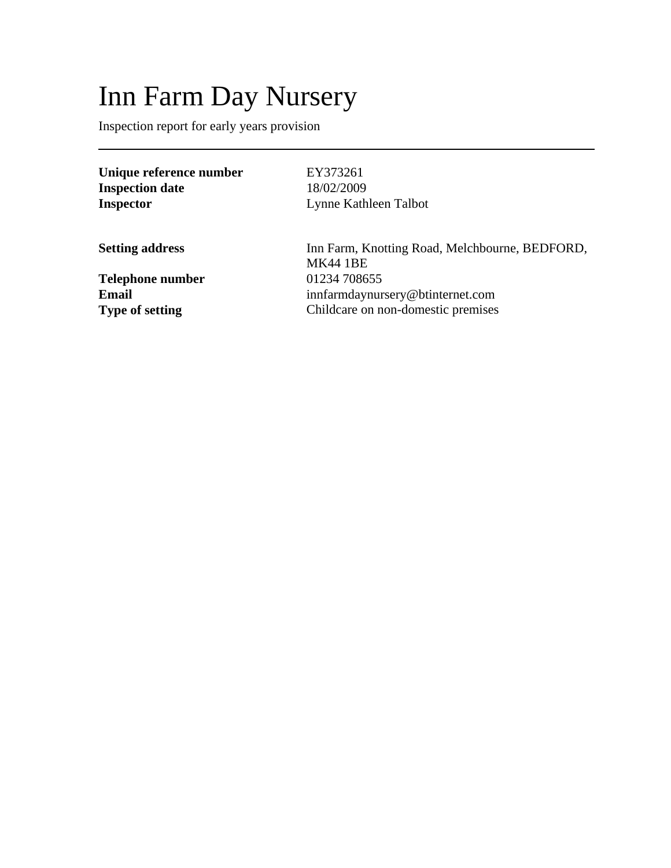# Inn Farm Day Nursery

Inspection report for early years provision

**Unique reference number** EY373261 **Inspection date** 18/02/2009 **Inspector** Lynne Kathleen Talbot

**Telephone number** 01234 708655

**Setting address** Inn Farm, Knotting Road, Melchbourne, BEDFORD, MK44 1BE **Email** innfarmdaynursery@btinternet.com<br> **Type of setting** Childcare on non-domestic premises Childcare on non-domestic premises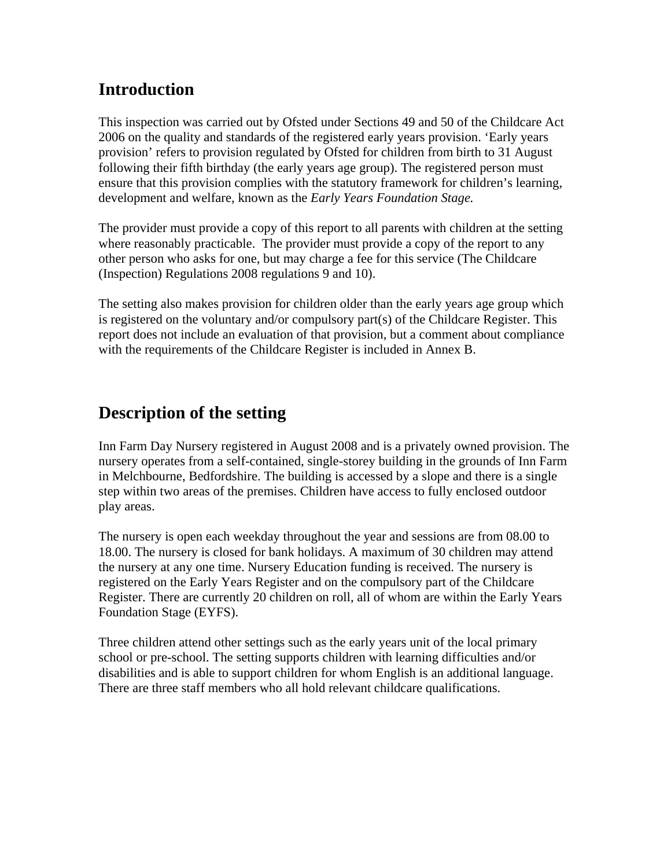# **Introduction**

This inspection was carried out by Ofsted under Sections 49 and 50 of the Childcare Act 2006 on the quality and standards of the registered early years provision. 'Early years provision' refers to provision regulated by Ofsted for children from birth to 31 August following their fifth birthday (the early years age group). The registered person must ensure that this provision complies with the statutory framework for children's learning, development and welfare, known as the *Early Years Foundation Stage.*

The provider must provide a copy of this report to all parents with children at the setting where reasonably practicable. The provider must provide a copy of the report to any other person who asks for one, but may charge a fee for this service (The Childcare (Inspection) Regulations 2008 regulations 9 and 10).

The setting also makes provision for children older than the early years age group which is registered on the voluntary and/or compulsory part(s) of the Childcare Register. This report does not include an evaluation of that provision, but a comment about compliance with the requirements of the Childcare Register is included in Annex B.

# **Description of the setting**

Inn Farm Day Nursery registered in August 2008 and is a privately owned provision. The nursery operates from a self-contained, single-storey building in the grounds of Inn Farm in Melchbourne, Bedfordshire. The building is accessed by a slope and there is a single step within two areas of the premises. Children have access to fully enclosed outdoor play areas.

The nursery is open each weekday throughout the year and sessions are from 08.00 to 18.00. The nursery is closed for bank holidays. A maximum of 30 children may attend the nursery at any one time. Nursery Education funding is received. The nursery is registered on the Early Years Register and on the compulsory part of the Childcare Register. There are currently 20 children on roll, all of whom are within the Early Years Foundation Stage (EYFS).

Three children attend other settings such as the early years unit of the local primary school or pre-school. The setting supports children with learning difficulties and/or disabilities and is able to support children for whom English is an additional language. There are three staff members who all hold relevant childcare qualifications.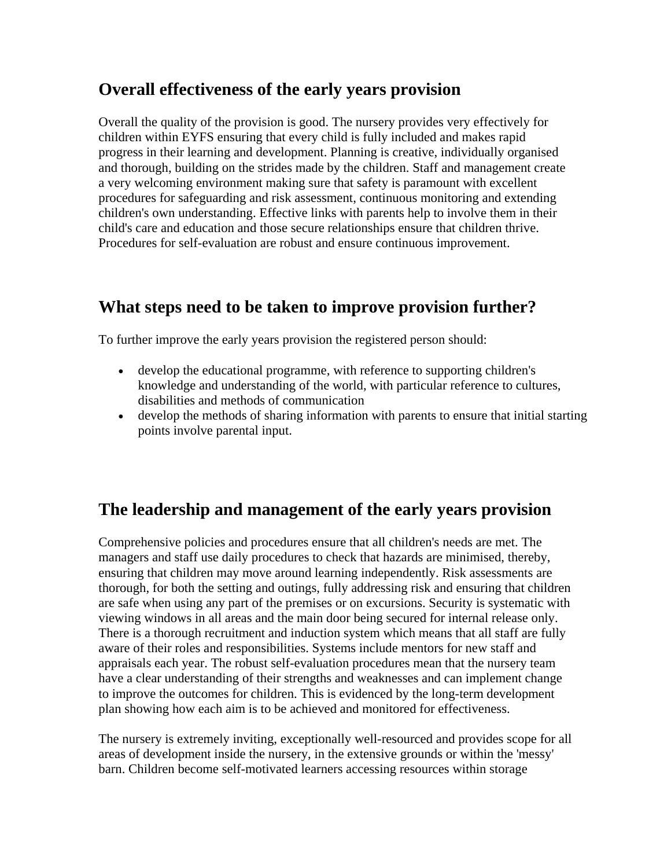## **Overall effectiveness of the early years provision**

Overall the quality of the provision is good. The nursery provides very effectively for children within EYFS ensuring that every child is fully included and makes rapid progress in their learning and development. Planning is creative, individually organised and thorough, building on the strides made by the children. Staff and management create a very welcoming environment making sure that safety is paramount with excellent procedures for safeguarding and risk assessment, continuous monitoring and extending children's own understanding. Effective links with parents help to involve them in their child's care and education and those secure relationships ensure that children thrive. Procedures for self-evaluation are robust and ensure continuous improvement.

### **What steps need to be taken to improve provision further?**

To further improve the early years provision the registered person should:

- develop the educational programme, with reference to supporting children's knowledge and understanding of the world, with particular reference to cultures, disabilities and methods of communication
- develop the methods of sharing information with parents to ensure that initial starting points involve parental input.

## **The leadership and management of the early years provision**

Comprehensive policies and procedures ensure that all children's needs are met. The managers and staff use daily procedures to check that hazards are minimised, thereby, ensuring that children may move around learning independently. Risk assessments are thorough, for both the setting and outings, fully addressing risk and ensuring that children are safe when using any part of the premises or on excursions. Security is systematic with viewing windows in all areas and the main door being secured for internal release only. There is a thorough recruitment and induction system which means that all staff are fully aware of their roles and responsibilities. Systems include mentors for new staff and appraisals each year. The robust self-evaluation procedures mean that the nursery team have a clear understanding of their strengths and weaknesses and can implement change to improve the outcomes for children. This is evidenced by the long-term development plan showing how each aim is to be achieved and monitored for effectiveness.

The nursery is extremely inviting, exceptionally well-resourced and provides scope for all areas of development inside the nursery, in the extensive grounds or within the 'messy' barn. Children become self-motivated learners accessing resources within storage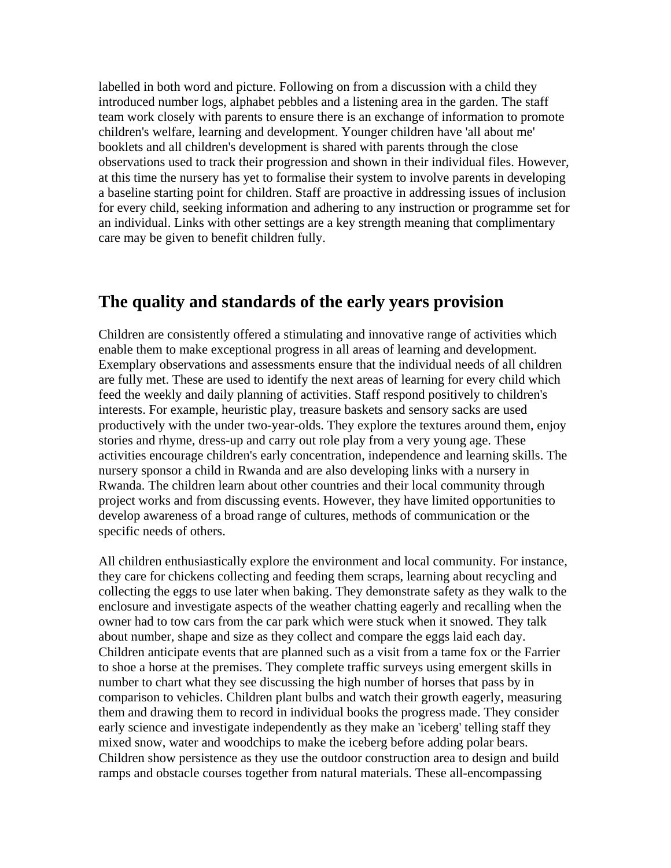labelled in both word and picture. Following on from a discussion with a child they introduced number logs, alphabet pebbles and a listening area in the garden. The staff team work closely with parents to ensure there is an exchange of information to promote children's welfare, learning and development. Younger children have 'all about me' booklets and all children's development is shared with parents through the close observations used to track their progression and shown in their individual files. However, at this time the nursery has yet to formalise their system to involve parents in developing a baseline starting point for children. Staff are proactive in addressing issues of inclusion for every child, seeking information and adhering to any instruction or programme set for an individual. Links with other settings are a key strength meaning that complimentary care may be given to benefit children fully.

#### **The quality and standards of the early years provision**

Children are consistently offered a stimulating and innovative range of activities which enable them to make exceptional progress in all areas of learning and development. Exemplary observations and assessments ensure that the individual needs of all children are fully met. These are used to identify the next areas of learning for every child which feed the weekly and daily planning of activities. Staff respond positively to children's interests. For example, heuristic play, treasure baskets and sensory sacks are used productively with the under two-year-olds. They explore the textures around them, enjoy stories and rhyme, dress-up and carry out role play from a very young age. These activities encourage children's early concentration, independence and learning skills. The nursery sponsor a child in Rwanda and are also developing links with a nursery in Rwanda. The children learn about other countries and their local community through project works and from discussing events. However, they have limited opportunities to develop awareness of a broad range of cultures, methods of communication or the specific needs of others.

All children enthusiastically explore the environment and local community. For instance, they care for chickens collecting and feeding them scraps, learning about recycling and collecting the eggs to use later when baking. They demonstrate safety as they walk to the enclosure and investigate aspects of the weather chatting eagerly and recalling when the owner had to tow cars from the car park which were stuck when it snowed. They talk about number, shape and size as they collect and compare the eggs laid each day. Children anticipate events that are planned such as a visit from a tame fox or the Farrier to shoe a horse at the premises. They complete traffic surveys using emergent skills in number to chart what they see discussing the high number of horses that pass by in comparison to vehicles. Children plant bulbs and watch their growth eagerly, measuring them and drawing them to record in individual books the progress made. They consider early science and investigate independently as they make an 'iceberg' telling staff they mixed snow, water and woodchips to make the iceberg before adding polar bears. Children show persistence as they use the outdoor construction area to design and build ramps and obstacle courses together from natural materials. These all-encompassing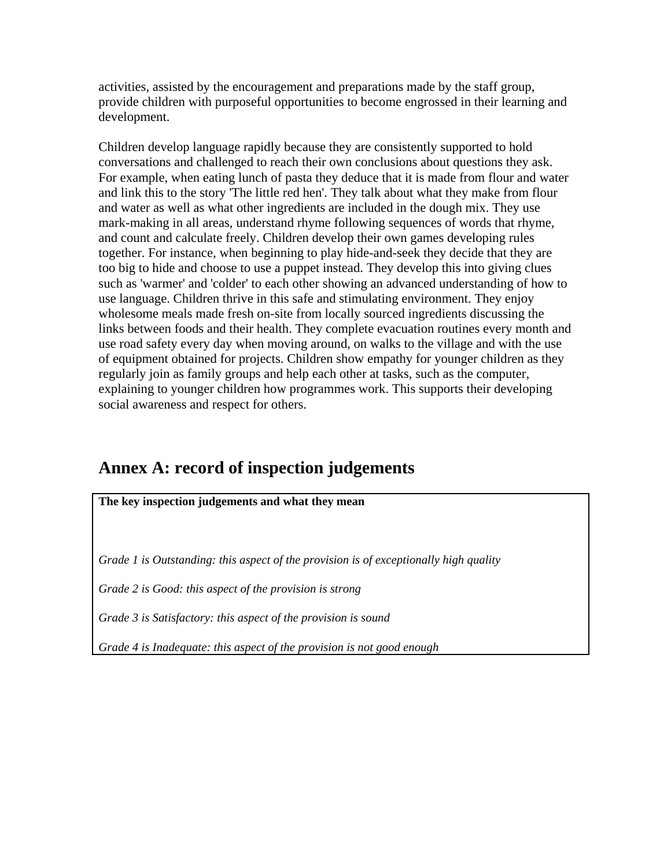activities, assisted by the encouragement and preparations made by the staff group, provide children with purposeful opportunities to become engrossed in their learning and development.

Children develop language rapidly because they are consistently supported to hold conversations and challenged to reach their own conclusions about questions they ask. For example, when eating lunch of pasta they deduce that it is made from flour and water and link this to the story 'The little red hen'. They talk about what they make from flour and water as well as what other ingredients are included in the dough mix. They use mark-making in all areas, understand rhyme following sequences of words that rhyme, and count and calculate freely. Children develop their own games developing rules together. For instance, when beginning to play hide-and-seek they decide that they are too big to hide and choose to use a puppet instead. They develop this into giving clues such as 'warmer' and 'colder' to each other showing an advanced understanding of how to use language. Children thrive in this safe and stimulating environment. They enjoy wholesome meals made fresh on-site from locally sourced ingredients discussing the links between foods and their health. They complete evacuation routines every month and use road safety every day when moving around, on walks to the village and with the use of equipment obtained for projects. Children show empathy for younger children as they regularly join as family groups and help each other at tasks, such as the computer, explaining to younger children how programmes work. This supports their developing social awareness and respect for others.

## **Annex A: record of inspection judgements**

**The key inspection judgements and what they mean** 

*Grade 1 is Outstanding: this aspect of the provision is of exceptionally high quality* 

*Grade 2 is Good: this aspect of the provision is strong* 

*Grade 3 is Satisfactory: this aspect of the provision is sound* 

*Grade 4 is Inadequate: this aspect of the provision is not good enough*